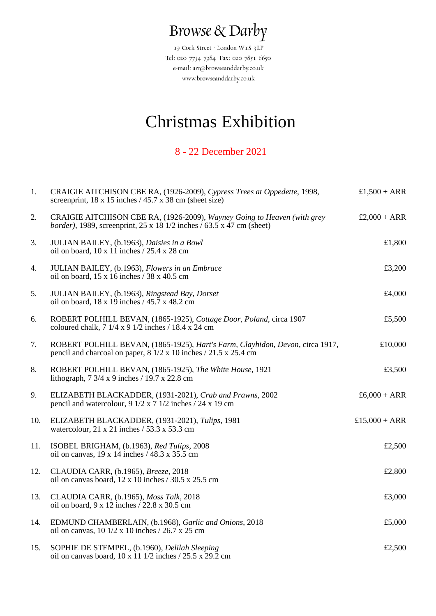## Browse & Darby

19 Cork Street · London W1S 3LP Tel: 020 7734 7984 Fax: 020 7851 6650 e-mail: art@browseanddarby.co.uk www.browseanddarby.co.uk

## Christmas Exhibition

## 8 - 22 December 2021

| 1.  | CRAIGIE AITCHISON CBE RA, (1926-2009), Cypress Trees at Oppedette, 1998,<br>screenprint, $18 \times 15$ inches $/ 45.7 \times 38$ cm (sheet size)                       | $£1,500 + ARR$ |
|-----|-------------------------------------------------------------------------------------------------------------------------------------------------------------------------|----------------|
| 2.  | CRAIGIE AITCHISON CBE RA, (1926-2009), Wayney Going to Heaven (with grey<br><i>border</i> ), 1989, screenprint, $25 \times 18$ 1/2 inches / 63.5 $\times$ 47 cm (sheet) | $£2,000 + ARR$ |
| 3.  | JULIAN BAILEY, (b.1963), Daisies in a Bowl<br>oil on board, $10 \times 11$ inches $/ 25.4 \times 28$ cm                                                                 | £1,800         |
| 4.  | JULIAN BAILEY, (b.1963), Flowers in an Embrace<br>oil on board, $15 \times 16$ inches / 38 x 40.5 cm                                                                    | £3,200         |
| 5.  | JULIAN BAILEY, (b.1963), Ringstead Bay, Dorset<br>oil on board, 18 x 19 inches / 45.7 x 48.2 cm                                                                         | £4,000         |
| 6.  | ROBERT POLHILL BEVAN, (1865-1925), Cottage Door, Poland, circa 1907<br>coloured chalk, $7 \frac{1}{4} \times 9 \frac{1}{2}$ inches / 18.4 x 24 cm                       | £5,500         |
| 7.  | ROBERT POLHILL BEVAN, (1865-1925), Hart's Farm, Clayhidon, Devon, circa 1917,<br>pencil and charcoal on paper, $8\frac{1}{2} \times 10$ inches $/21.5 \times 25.4$ cm   | £10,000        |
| 8.  | ROBERT POLHILL BEVAN, (1865-1925), The White House, 1921<br>lithograph, $7 \frac{3}{4} \times 9$ inches / 19.7 x 22.8 cm                                                | £3,500         |
| 9.  | ELIZABETH BLACKADDER, (1931-2021), Crab and Prawns, 2002<br>pencil and watercolour, $9 \frac{1}{2} \times 7 \frac{1}{2}$ inches / 24 x 19 cm                            | $£6,000 + ARR$ |
| 10. | ELIZABETH BLACKADDER, (1931-2021), Tulips, 1981<br>watercolour, $21 \times 21$ inches / 53.3 x 53.3 cm                                                                  | £15,000 + ARR  |
| 11. | ISOBEL BRIGHAM, (b.1963), Red Tulips, 2008<br>oil on canvas, 19 x 14 inches / 48.3 x 35.5 cm                                                                            | £2,500         |
| 12. | CLAUDIA CARR, (b.1965), Breeze, 2018<br>oil on canvas board, 12 x 10 inches / 30.5 x 25.5 cm                                                                            | £2,800         |
| 13. | CLAUDIA CARR, (b.1965), Moss Talk, 2018<br>oil on board, 9 x 12 inches / 22.8 x 30.5 cm                                                                                 | £3,000         |
| 14. | EDMUND CHAMBERLAIN, (b.1968), Garlic and Onions, 2018<br>oil on canvas, $10 \frac{1}{2}$ x $10$ inches $/26.7$ x $25$ cm                                                | £5,000         |
| 15. | SOPHIE DE STEMPEL, (b.1960), Delilah Sleeping<br>oil on canvas board, 10 x 11 1/2 inches / 25.5 x 29.2 cm                                                               | £2,500         |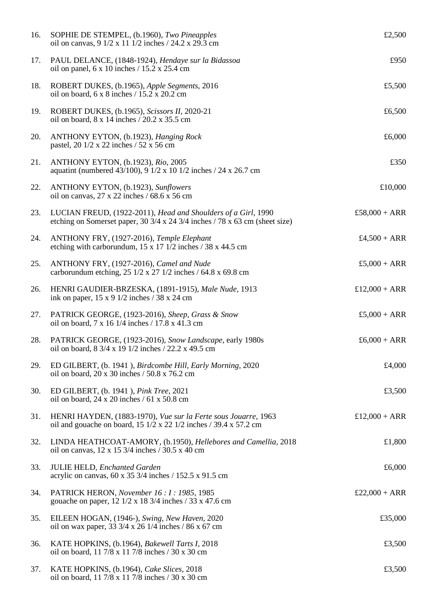| 16. | SOPHIE DE STEMPEL, (b.1960), Two Pineapples<br>oil on canvas, 9 1/2 x 11 1/2 inches / 24.2 x 29.3 cm                                                  | £2,500         |
|-----|-------------------------------------------------------------------------------------------------------------------------------------------------------|----------------|
| 17. | PAUL DELANCE, (1848-1924), Hendaye sur la Bidassoa<br>oil on panel, $6 \times 10$ inches $/ 15.2 \times 25.4$ cm                                      | £950           |
| 18. | ROBERT DUKES, (b.1965), Apple Segments, 2016<br>oil on board, 6 x 8 inches / 15.2 x 20.2 cm                                                           | £5,500         |
| 19. | ROBERT DUKES, (b.1965), Scissors II, 2020-21<br>oil on board, 8 x 14 inches / 20.2 x 35.5 cm                                                          | £6,500         |
| 20. | ANTHONY EYTON, (b.1923), Hanging Rock<br>pastel, 20 1/2 x 22 inches / 52 x 56 cm                                                                      | £6,000         |
| 21. | ANTHONY EYTON, (b.1923), Rio, 2005<br>aquatint (numbered 43/100), 9 1/2 x 10 1/2 inches / 24 x 26.7 cm                                                | £350           |
| 22. | ANTHONY EYTON, (b.1923), Sunflowers<br>oil on canvas, $27 \times 22$ inches / 68.6 x 56 cm                                                            | £10,000        |
| 23. | LUCIAN FREUD, (1922-2011), Head and Shoulders of a Girl, 1990<br>etching on Somerset paper, $30\frac{3}{4}$ x 24 3/4 inches / 78 x 63 cm (sheet size) | £58,000 + ARR  |
| 24. | ANTHONY FRY, (1927-2016), Temple Elephant<br>etching with carborundum, $15 \times 17$ 1/2 inches / 38 x 44.5 cm                                       | $£4,500 + ARR$ |
| 25. | ANTHONY FRY, (1927-2016), Camel and Nude<br>carborundum etching, $25 \frac{1}{2} \times 27 \frac{1}{2}$ inches / 64.8 x 69.8 cm                       | £5,000 + $ARR$ |
| 26. | HENRI GAUDIER-BRZESKA, (1891-1915), Male Nude, 1913<br>ink on paper, $15 \times 9$ 1/2 inches / 38 x 24 cm                                            | £12,000 + ARR  |
| 27. | PATRICK GEORGE, (1923-2016), Sheep, Grass & Snow<br>oil on board, 7 x 16 1/4 inches / 17.8 x 41.3 cm                                                  | $£5,000 + ARR$ |
| 28. | PATRICK GEORGE, (1923-2016), Snow Landscape, early 1980s<br>oil on board, 8 3/4 x 19 1/2 inches / 22.2 x 49.5 cm                                      | $£6,000 + ARR$ |
| 29. | ED GILBERT, (b. 1941), Birdcombe Hill, Early Morning, 2020<br>oil on board, 20 x 30 inches / 50.8 x 76.2 cm                                           | £4,000         |
| 30. | ED GILBERT, (b. 1941), Pink Tree, 2021<br>oil on board, $24 \times 20$ inches / 61 x 50.8 cm                                                          | £3,500         |
| 31. | HENRI HAYDEN, (1883-1970), Vue sur la Ferte sous Jouarre, 1963<br>oil and gouache on board, 15 1/2 x 22 1/2 inches / 39.4 x 57.2 cm                   | £12,000 + ARR  |
| 32. | LINDA HEATHCOAT-AMORY, (b.1950), Hellebores and Camellia, 2018<br>oil on canvas, $12 \times 15\frac{3}{4}$ inches / 30.5 x 40 cm                      | £1,800         |
| 33. | JULIE HELD, Enchanted Garden<br>acrylic on canvas, 60 x 35 3/4 inches / 152.5 x 91.5 cm                                                               | £6,000         |
| 34. | PATRICK HERON, November 16: 1: 1985, 1985<br>gouache on paper, 12 1/2 x 18 3/4 inches / 33 x 47.6 cm                                                  | £22,000 + ARR  |
| 35. | EILEEN HOGAN, (1946-), Swing, New Haven, 2020<br>oil on wax paper, 33 $3/4$ x 26 $1/4$ inches / 86 x 67 cm                                            | £35,000        |
| 36. | KATE HOPKINS, (b.1964), Bakewell Tarts I, 2018<br>oil on board, 11 7/8 x 11 7/8 inches / 30 x 30 cm                                                   | £3,500         |
| 37. | KATE HOPKINS, (b.1964), Cake Slices, 2018<br>oil on board, 11 7/8 x 11 7/8 inches / 30 x 30 cm                                                        | £3,500         |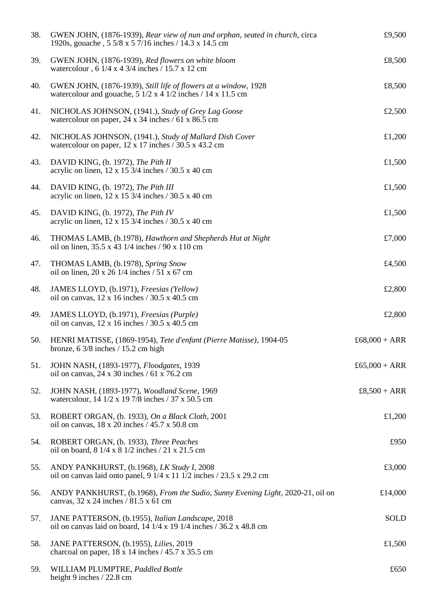| 38. | GWEN JOHN, (1876-1939), Rear view of nun and orphan, seated in church, circa<br>1920s, gouache, 5 5/8 x 5 7/16 inches / 14.3 x 14.5 cm                                                          | £9,500        |
|-----|-------------------------------------------------------------------------------------------------------------------------------------------------------------------------------------------------|---------------|
| 39. | GWEN JOHN, (1876-1939), Red flowers on white bloom<br>watercolour, $6 \frac{1}{4} \times 4 \frac{3}{4}$ inches / 15.7 x 12 cm                                                                   | £8,500        |
| 40. | GWEN JOHN, (1876-1939), Still life of flowers at a window, 1928<br>watercolour and gouache, $5 \frac{1}{2} \times 4 \frac{1}{2}$ inches / 14 x 11.5 cm                                          | £8,500        |
| 41. | NICHOLAS JOHNSON, (1941.), Study of Grey Lag Goose<br>watercolour on paper, $24 \times 34$ inches / 61 x 86.5 cm                                                                                | £2,500        |
| 42. | NICHOLAS JOHNSON, (1941.), Study of Mallard Dish Cover<br>watercolour on paper, $12 \times 17$ inches / 30.5 x 43.2 cm                                                                          | £1,200        |
| 43. | DAVID KING, (b. 1972), The Pith II<br>acrylic on linen, $12 \times 15\frac{3}{4}$ inches / 30.5 x 40 cm                                                                                         | £1,500        |
| 44. | DAVID KING, (b. 1972), The Pith III<br>acrylic on linen, $12 \times 15\frac{3}{4}$ inches / 30.5 x 40 cm                                                                                        | £1,500        |
| 45. | DAVID KING, (b. 1972), The Pith IV<br>acrylic on linen, $12 \times 15\frac{3}{4}$ inches / 30.5 x 40 cm                                                                                         | £1,500        |
| 46. | THOMAS LAMB, (b.1978), Hawthorn and Shepherds Hut at Night<br>oil on linen, 35.5 x 43 1/4 inches / 90 x 110 cm                                                                                  | £7,000        |
| 47. | THOMAS LAMB, (b.1978), Spring Snow<br>oil on linen, $20 \times 26$ 1/4 inches / 51 x 67 cm                                                                                                      | £4,500        |
| 48. | JAMES LLOYD, (b.1971), Freesias (Yellow)<br>oil on canvas, $12 \times 16$ inches / $30.5 \times 40.5$ cm                                                                                        | £2,800        |
| 49. | JAMES LLOYD, (b.1971), Freesias (Purple)<br>oil on canvas, $12 \times 16$ inches / 30.5 x 40.5 cm                                                                                               | £2,800        |
| 50. | HENRI MATISSE, (1869-1954), Tete d'enfant (Pierre Matisse), 1904-05<br>bronze, $6\frac{3}{8}$ inches $/15.2$ cm high                                                                            | £68,000 + ARR |
| 51. | JOHN NASH, (1893-1977), Floodgates, 1939<br>oil on canvas, $24 \times 30$ inches / 61 x 76.2 cm                                                                                                 | £65,000 + ARR |
| 52. | JOHN NASH, (1893-1977), Woodland Scene, 1969<br>watercolour, 14 1/2 x 19 7/8 inches / 37 x 50.5 cm                                                                                              | £8,500 + ARR  |
| 53. | ROBERT ORGAN, (b. 1933), On a Black Cloth, 2001<br>oil on canvas, $18 \times 20$ inches $/ 45.7 \times 50.8$ cm                                                                                 | £1,200        |
| 54. | ROBERT ORGAN, (b. 1933), Three Peaches<br>oil on board, 8 1/4 x 8 1/2 inches / 21 x 21.5 cm                                                                                                     | £950          |
| 55. | ANDY PANKHURST, (b.1968), LK Study I, 2008<br>oil on canvas laid onto panel, $9 \frac{1}{4} \times 11 \frac{1}{2}$ inches $/ 23.5 \times 29.2$ cm                                               | £3,000        |
| 56. | ANDY PANKHURST, (b.1968), From the Sudio, Sunny Evening Light, 2020-21, oil on<br>canvas, 32 x 24 inches / 81.5 x 61 cm                                                                         | £14,000       |
| 57. | JANE PATTERSON, (b.1955), Italian Landscape, 2018<br>oil on canvas laid on board, $14 \frac{1}{4} \times 19 \frac{1}{4}$ inches $\frac{736.2 \times 48.8 \text{ cm}}{49 \times 19 \times 10^6}$ | <b>SOLD</b>   |
| 58. | JANE PATTERSON, (b.1955), Lilies, 2019<br>charcoal on paper, $18 \times 14$ inches / $45.7 \times 35.5$ cm                                                                                      | £1,500        |
| 59. | WILLIAM PLUMPTRE, Paddled Bottle<br>height 9 inches / 22.8 cm                                                                                                                                   | £650          |